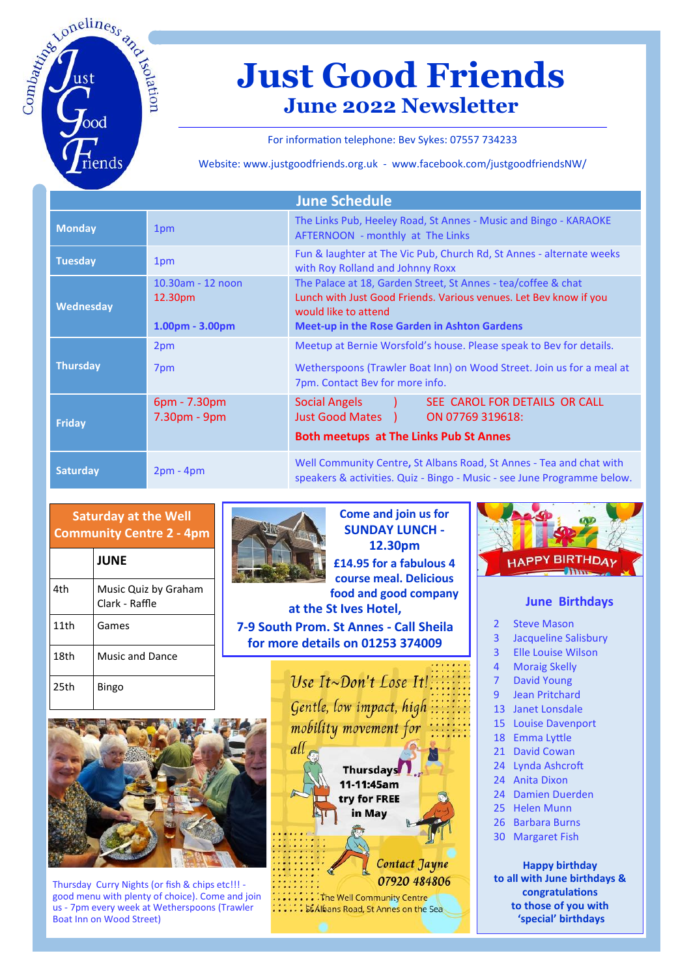

Boat Inn on Wood Street)

# **Just Good Friends June 2022 Newsletter**

For information telephone: Bev Sykes: 07557 734233

Website: www.[justgoodfriends.o](http://justgoodfriends.org.uk/)rg.uk - [www.facebook.com/justgoodfriendsNW/](https://www.facebook.com/justgoodfriendsNW/)

| <b>June Schedule</b> |                                                   |                                                                                                                                                                                                                   |  |  |
|----------------------|---------------------------------------------------|-------------------------------------------------------------------------------------------------------------------------------------------------------------------------------------------------------------------|--|--|
| <b>Monday</b>        | 1pm                                               | The Links Pub, Heeley Road, St Annes - Music and Bingo - KARAOKE<br>AFTERNOON - monthly at The Links                                                                                                              |  |  |
| <b>Tuesday</b>       | 1pm                                               | Fun & laughter at The Vic Pub, Church Rd, St Annes - alternate weeks<br>with Roy Rolland and Johnny Roxx                                                                                                          |  |  |
| Wednesday            | 10.30am - 12 noon<br>12.30pm<br>$1.00pm - 3.00pm$ | The Palace at 18, Garden Street, St Annes - tea/coffee & chat<br>Lunch with Just Good Friends. Various venues. Let Bev know if you<br>would like to attend<br><b>Meet-up in the Rose Garden in Ashton Gardens</b> |  |  |
| <b>Thursday</b>      | 2pm<br>7pm                                        | Meetup at Bernie Worsfold's house. Please speak to Bev for details.<br>Wetherspoons (Trawler Boat Inn) on Wood Street. Join us for a meal at<br>7pm. Contact Bev for more info.                                   |  |  |
| <b>Friday</b>        | 6pm - 7.30pm<br>7.30pm - 9pm                      | <b>Social Angels</b><br>SEE CAROL FOR DETAILS OR CALL<br><b>Just Good Mates</b><br>ON 07769 319618:<br><b>Both meetups at The Links Pub St Annes</b>                                                              |  |  |
| <b>Saturday</b>      | $2pm - 4pm$                                       | Well Community Centre, St Albans Road, St Annes - Tea and chat with<br>speakers & activities. Quiz - Bingo - Music - see June Programme below.                                                                    |  |  |

| <b>Saturday at the Well</b><br><b>Community Centre 2 - 4pm</b> |                                                                                                                                                    | Come and join us for<br><b>SUNDAY LUNCH -</b><br>12.30pm                                          |                                                                                                                                                                                                                                                          |
|----------------------------------------------------------------|----------------------------------------------------------------------------------------------------------------------------------------------------|---------------------------------------------------------------------------------------------------|----------------------------------------------------------------------------------------------------------------------------------------------------------------------------------------------------------------------------------------------------------|
|                                                                | <b>JUNE</b>                                                                                                                                        | £14.95 for a fabulous 4<br>course meal. Delicious                                                 | <b>HAPPY BIRTHDAY</b>                                                                                                                                                                                                                                    |
| 4th                                                            | Music Quiz by Graham<br>Clark - Raffle                                                                                                             | food and good company<br>at the St Ives Hotel,                                                    | <b>June Birthdays</b>                                                                                                                                                                                                                                    |
| 11th                                                           | Games                                                                                                                                              | 7-9 South Prom. St Annes - Call Sheila<br>for more details on 01253 374009                        | <b>Steve Mason</b><br>2<br>3<br><b>Jacqueline Salisbury</b>                                                                                                                                                                                              |
| 18th                                                           | <b>Music and Dance</b>                                                                                                                             |                                                                                                   | $\overline{3}$<br><b>Elle Louise Wilson</b><br><b>Moraig Skelly</b><br>4                                                                                                                                                                                 |
| 25th                                                           | Bingo                                                                                                                                              | Use $It \sim Don't$ Lose It!<br>Gentle, low impact, high                                          | <b>David Young</b><br>$\overline{7}$<br><b>Jean Pritchard</b><br>9<br>Janet Lonsdale<br>13                                                                                                                                                               |
|                                                                |                                                                                                                                                    | mobility movement for<br>all<br><b>Thursdays</b><br>11-11:45am<br>try for FREE<br>in May          | 15<br><b>Louise Davenport</b><br><b>Emma Lyttle</b><br>18<br>David Cowan<br>21<br>Lynda Ashcroft<br>24<br><b>Anita Dixon</b><br>24<br><b>Damien Duerden</b><br>24<br><b>Helen Munn</b><br>25<br><b>Barbara Burns</b><br>26<br><b>Margaret Fish</b><br>30 |
|                                                                | Thursday Curry Nights (or fish & chips etc!!! -<br>good menu with plenty of choice). Come and join<br>us - 7pm every week at Wetherspoons (Trawler | Contact Jayne<br>07920 484806<br>The Well Community Centre<br>St Albans Road, St Annes on the Sea | <b>Happy birthday</b><br>to all with June birthdays &<br>congratulations<br>to those of you with                                                                                                                                                         |

::::: \$t Albans Road, St Annes on the Sea

**'special' birthdays**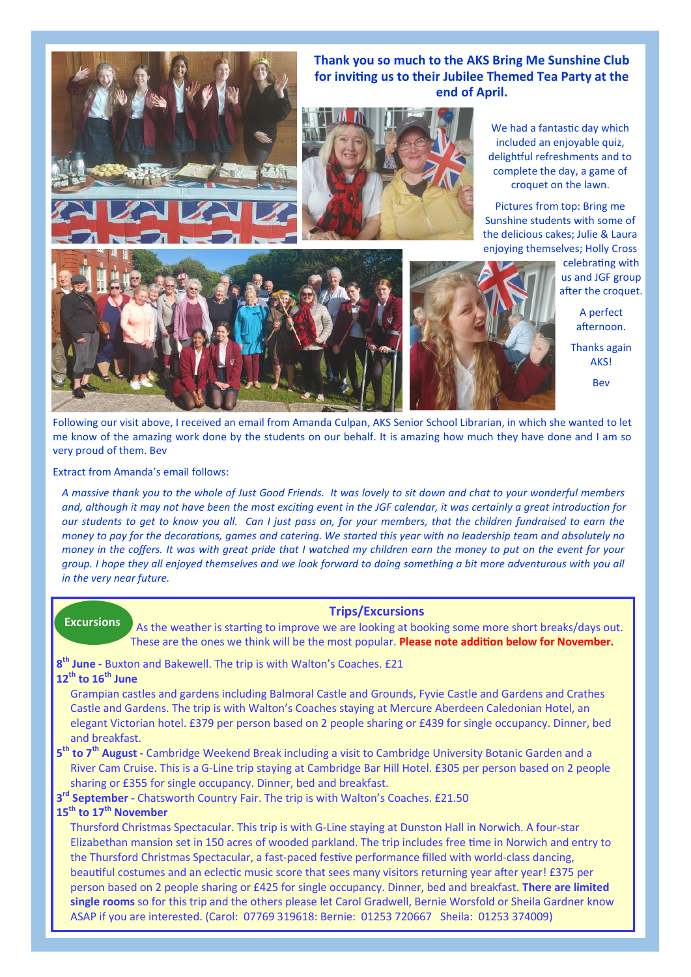**Thank you so much to the AKS Bring Me Sunshine Club for inviting us to their Jubilee Themed Tea Party at the end of April.**



We had a fantastic day which included an enjoyable quiz, delightful refreshments and to complete the day, a game of croquet on the lawn.

Pictures from top: Bring me Sunshine students with some of the delicious cakes; Julie & Laura enjoying themselves; Holly Cross

> celebrating with us and JGF group after the croquet.

> > A perfect afternoon. Thanks again AKS! Bev



Following our visit above, I received an email from Amanda Culpan, AKS Senior School Librarian, in which she wanted to let me know of the amazing work done by the students on our behalf. It is amazing how much they have done and I am so very proud of them. Bev

Extract from Amanda's email follows:

*A massive thank you to the whole of Just Good Friends. It was lovely to sit down and chat to your wonderful members and, although it may not have been the most exciting event in the JGF calendar, it was certainly a great introduction for our students to get to know you all. Can I just pass on, for your members, that the children fundraised to earn the money to pay for the decorations, games and catering. We started this year with no leadership team and absolutely no money in the coffers. It was with great pride that I watched my children earn the money to put on the event for your group. I hope they all enjoyed themselves and we look forward to doing something a bit more adventurous with you all in the very near future.*

#### **Trips/Excursions**

As the weather is starting to improve we are looking at booking some more short breaks/days out. These are the ones we think will be the most popular. **Please note addition below for November.**

**8 th June -** Buxton and Bakewell. The trip is with Walton's Coaches. £21 **12th to 16th June**

Grampian castles and gardens including Balmoral Castle and Grounds, Fyvie Castle and Gardens and Crathes Castle and Gardens. The trip is with Walton's Coaches staying at Mercure Aberdeen Caledonian Hotel, an elegant Victorian hotel. £379 per person based on 2 people sharing or £439 for single occupancy. Dinner, bed and breakfast.

- **5 th to 7th August -** Cambridge Weekend Break including a visit to Cambridge University Botanic Garden and a River Cam Cruise. This is a G-Line trip staying at Cambridge Bar Hill Hotel. £305 per person based on 2 people sharing or £355 for single occupancy. Dinner, bed and breakfast.
- **3 rd September -** Chatsworth Country Fair. The trip is with Walton's Coaches. £21.50

## **15th to 17th November**

**Excursions**

Thursford Christmas Spectacular. This trip is with G-Line staying at Dunston Hall in Norwich. A four-star Elizabethan mansion set in 150 acres of wooded parkland. The trip includes free time in Norwich and entry to the Thursford Christmas Spectacular, a fast-paced festive performance filled with world-class dancing, beautiful costumes and an eclectic music score that sees many visitors returning year after year! £375 per person based on 2 people sharing or £425 for single occupancy. Dinner, bed and breakfast. **There are limited single rooms** so for this trip and the others please let Carol Gradwell, Bernie Worsfold or Sheila Gardner know ASAP if you are interested. (Carol: 07769 319618: Bernie: 01253 720667 Sheila: 01253 374009)